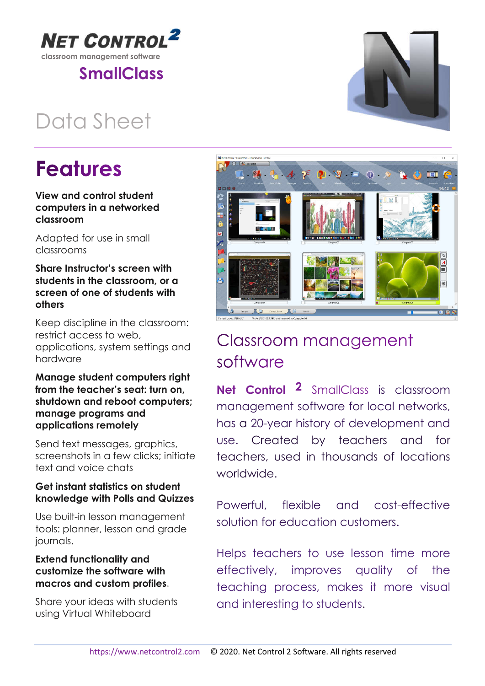

**NET CONTRO** 

## Data Sheet

# **Features**

### View and control student computers in a networked classroom

Adapted for use in small classrooms

## Share Instructor's screen with students in the classroom, or a screen of one of students with others

Keep discipline in the classroom: restrict access to web, applications, system settings and hardware

## Manage student computers right from the teacher's seat: turn on, shutdown and reboot computers; manage programs and applications remotely

Send text messages, graphics, screenshots in a few clicks; initiate text and voice chats

## Get instant statistics on student knowledge with Polls and Quizzes

Use built-in lesson management tools: planner, lesson and grade journals.

## Extend functionality and customize the software with macros and custom profiles.

Share your ideas with students using Virtual Whiteboard

## Classroom management software

Net Control 2 SmallClass is classroom management software for local networks, has a 20-year history of development and use. Created by teachers and for teachers, used in thousands of locations worldwide.

Powerful, flexible and cost-effective solution for education customers.

Helps teachers to use lesson time more effectively, improves quality of the teaching process, makes it more visual and interesting to students.